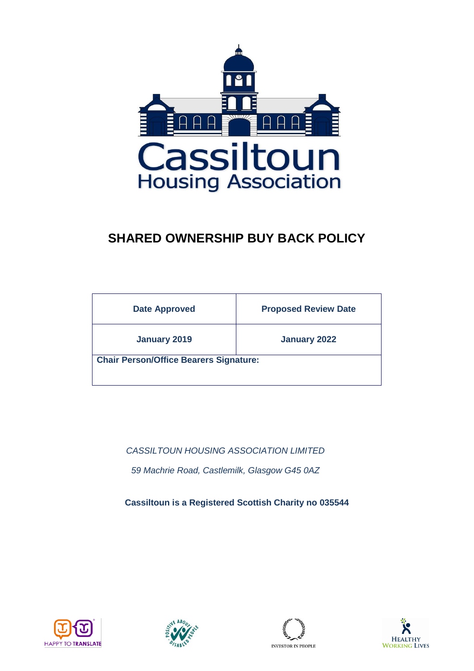

# **SHARED OWNERSHIP BUY BACK POLICY**

| <b>Date Approved</b>                          | <b>Proposed Review Date</b> |
|-----------------------------------------------|-----------------------------|
| <b>January 2019</b>                           | January 2022                |
| <b>Chair Person/Office Bearers Signature:</b> |                             |

*CASSILTOUN HOUSING ASSOCIATION LIMITED 59 Machrie Road, Castlemilk, Glasgow G45 0AZ*

**Cassiltoun is a Registered Scottish Charity no 035544**







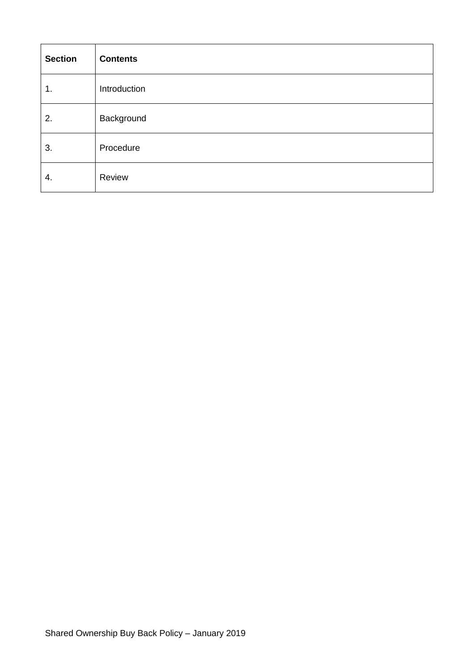| <b>Section</b> | <b>Contents</b> |
|----------------|-----------------|
| 1.             | Introduction    |
| 2.             | Background      |
| 3.             | Procedure       |
| 4.             | Review          |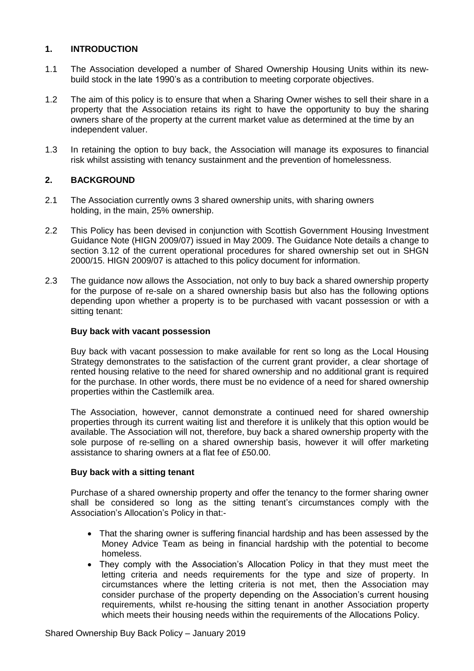# **1. INTRODUCTION**

- 1.1 The Association developed a number of Shared Ownership Housing Units within its newbuild stock in the late 1990's as a contribution to meeting corporate objectives.
- 1.2 The aim of this policy is to ensure that when a Sharing Owner wishes to sell their share in a property that the Association retains its right to have the opportunity to buy the sharing owners share of the property at the current market value as determined at the time by an independent valuer.
- 1.3 In retaining the option to buy back, the Association will manage its exposures to financial risk whilst assisting with tenancy sustainment and the prevention of homelessness.

# **2. BACKGROUND**

- 2.1 The Association currently owns 3 shared ownership units, with sharing owners holding, in the main, 25% ownership.
- 2.2 This Policy has been devised in conjunction with Scottish Government Housing Investment Guidance Note (HIGN 2009/07) issued in May 2009. The Guidance Note details a change to section 3.12 of the current operational procedures for shared ownership set out in SHGN 2000/15. HIGN 2009/07 is attached to this policy document for information.
- 2.3 The guidance now allows the Association, not only to buy back a shared ownership property for the purpose of re-sale on a shared ownership basis but also has the following options depending upon whether a property is to be purchased with vacant possession or with a sitting tenant:

## **Buy back with vacant possession**

Buy back with vacant possession to make available for rent so long as the Local Housing Strategy demonstrates to the satisfaction of the current grant provider, a clear shortage of rented housing relative to the need for shared ownership and no additional grant is required for the purchase. In other words, there must be no evidence of a need for shared ownership properties within the Castlemilk area.

The Association, however, cannot demonstrate a continued need for shared ownership properties through its current waiting list and therefore it is unlikely that this option would be available. The Association will not, therefore, buy back a shared ownership property with the sole purpose of re-selling on a shared ownership basis, however it will offer marketing assistance to sharing owners at a flat fee of £50.00.

#### **Buy back with a sitting tenant**

Purchase of a shared ownership property and offer the tenancy to the former sharing owner shall be considered so long as the sitting tenant's circumstances comply with the Association's Allocation's Policy in that:-

- That the sharing owner is suffering financial hardship and has been assessed by the Money Advice Team as being in financial hardship with the potential to become homeless.
- They comply with the Association's Allocation Policy in that they must meet the letting criteria and needs requirements for the type and size of property. In circumstances where the letting criteria is not met, then the Association may consider purchase of the property depending on the Association's current housing requirements, whilst re-housing the sitting tenant in another Association property which meets their housing needs within the requirements of the Allocations Policy.